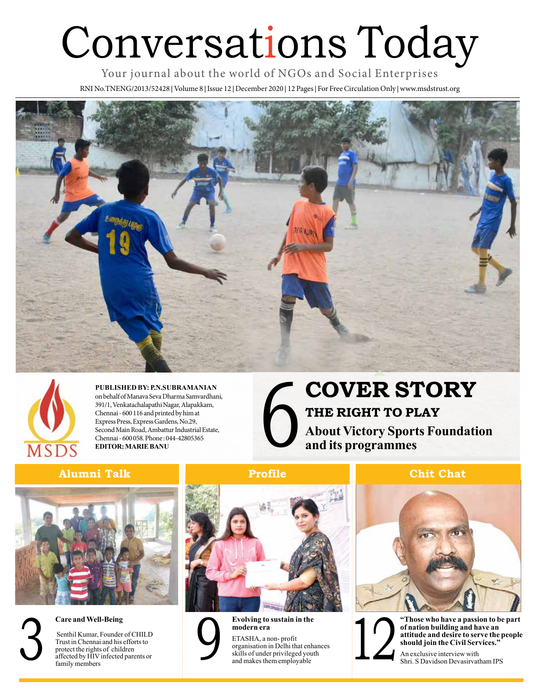# Conversations Today

Your journal about the world of NGOs and Social Enterprises RNI No.TNENG/2013/52428 **|** Volume 8 **|** Issue 12 **|** December 2020 **|** 12 Pages **|** For Free Circulation Only **|** www.msdstrust.org





**PUBLISHED BY: P.N.SUBRAMANIAN**  on behalf of Manava Seva Dharma Samvardhani, 391/1, Venkatachalapathi Nagar, Alapakkam, Chennai - 600 116 and printed by him at Express Press, Express Gardens, No.29, Second Main Road, Ambattur Industrial Estate, Chennai - 600 058. Phone : 044-42805365 **EDITOR: MARIE BANU**

### 6 **COVER STORY THE RIGHT TO PLAY About Victory Sports Foundation and its programmes**

### **Alumni Talk Profile Chit Chat**







**Care and Well-Being**

 Senthil Kumar, Founder of CHILD Trust in Chennai and his efforts to protect the rights of children affected by HIV infected parents or family members Senthil Kumar, Founder of CHILD<br>
Trust in Chennai and his efforts to<br>
protect the rights of children<br>
affected by HIV infected parents or<br>
family members<br>
and makes them employable





**Evolving to sustain in the modern era**  ETASHA, a non- profit

organisation in Delhi that enhances skills of under privileged youth and makes them employable



**"Those who have a passion to be part of nation building and have an attitude and desire to serve the people should join the Civil Services."** 

An exclusive interview with Shri. S Davidson Devasirvatham IPS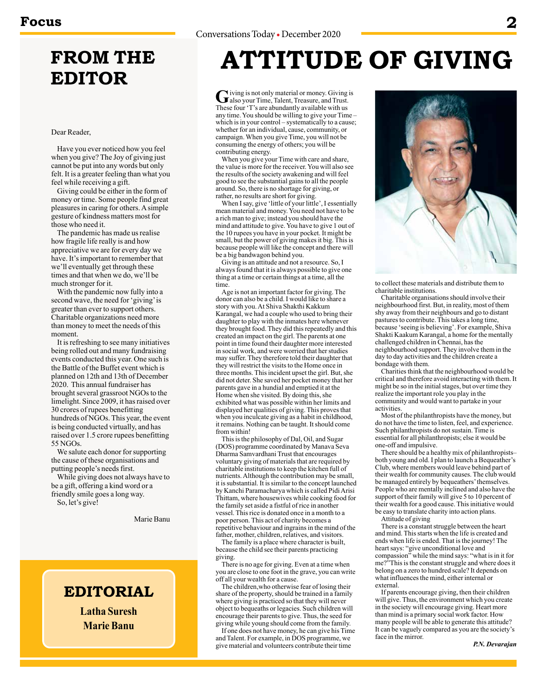### **FROM THE EDITOR**

### Dear Reader,

Have you ever noticed how you feel when you give? The Joy of giving just cannot be put into any words but only felt. It is a greater feeling than what you feel while receiving a gift.

Giving could be either in the form of money or time. Some people find great pleasures in caring for others. A simple gesture of kindness matters most for those who need it.

The pandemic has made us realise how fragile life really is and how appreciative we are for every day we have. It's important to remember that we'll eventually get through these times and that when we do, we'll be much stronger for it.

With the pandemic now fully into a second wave, the need for 'giving' is greater than ever to support others. Charitable organizations need more than money to meet the needs of this moment.

It is refreshing to see many initiatives being rolled out and many fundraising events conducted this year. One such is the Battle of the Buffet event which is planned on 12th and 13th of December 2020. This annual fundraiser has brought several grassroot NGOs to the limelight. Since 2009, it has raised over 30 crores of rupees benefitting hundreds of NGOs. This year, the event is being conducted virtually, and has raised over 1.5 crore rupees benefitting 55 NGOs.

We salute each donor for supporting the cause of these organisations and putting people's needs first.

While giving does not always have to be a gift, offering a kind word or a friendly smile goes a long way. So, let's give!

Marie Banu

### **EDITORIAL**

**Latha Suresh Marie Banu**

### **ATTITUDE OF GIVING**

Giving is not only material or money. Giving is<br>
Galso your Time, Talent, Treasure, and Trust.<br>
These four 'T's are shundartly smillable with you These four 'T's are abundantly available with us any time. You should be willing to give your Time – which is in your control – systematically to a cause; whether for an individual, cause, community, or campaign. When you give Time, you will not be consuming the energy of others; you will be contributing energy.

When you give your Time with care and share, the value is more for the receiver. You will also see the results of the society awakening and will feel good to see the substantial gains to all the people around. So, there is no shortage for giving, or rather, no results are short for giving.

When I say, give 'little of your little', I essentially mean material and money. You need not have to be a rich man to give; instead you should have the mind and attitude to give. You have to give 1 out of the 10 rupees you have in your pocket. It might be small, but the power of giving makes it big. This is because people will like the concept and there will be a big bandwagon behind you.

Giving is an attitude and not a resource. So, I always found that it is always possible to give one thing at a time or certain things at a time, all the time.

Age is not an important factor for giving. The donor can also be a child. I would like to share a story with you. At Shiva Shakthi Kakkum Karangal, we had a couple who used to bring their daughter to play with the inmates here whenever they brought food. They did this repeatedly and this created an impact on the girl. The parents at one point in time found their daughter more interested in social work, and were worried that her studies may suffer. They therefore told their daughter that they will restrict the visits to the Home once in three months. This incident upset the girl. But, she did not deter. She saved her pocket money that her parents gave in a hundial and emptied it at the Home when she visited. By doing this, she exhibited what was possible within her limits and displayed her qualities of giving. This proves that when you inculcate giving as a habit in childhood, it remains. Nothing can be taught. It should come from within!

This is the philosophy of Dal, Oil, and Sugar (DOS) programme coordinated by Manava Seva Dharma Samvardhani Trust that encourages voluntary giving of materials that are required by charitable institutions to keep the kitchen full of nutrients. Although the contribution may be small, it is substantial. It is similar to the concept launched by Kanchi Paramacharya which is called Pidi Arisi Thittam, where housewives while cooking food for the family set aside a fistful of rice in another vessel. This rice is donated once in a month to a poor person. This act of charity becomes a repetitive behaviour and ingrains in the mind of the father, mother, children, relatives, and visitors.

The family is a place where character is built, because the child see their parents practicing giving.

There is no age for giving. Even at a time when you are close to one foot in the grave, you can write off all your wealth for a cause.

The children,who otherwise fear of losing their share of the property, should be trained in a family where giving is practiced so that they will never object to bequeaths or legacies. Such children will encourage their parents to give. Thus, the seed for giving while young should come from the family.

If one does not have money, he can give his Time and Talent. For example, in DOS programme, we give material and volunteers contribute their time



to collect these materials and distribute them to charitable institutions.

Charitable organisations should involve their neighbourhood first. But, in reality, most of them shy away from their neighbours and go to distant pastures to contribute. This takes a long time, because 'seeing is believing'. For example, Shiva Shakti Kaakum Karangal, a home for the mentally challenged children in Chennai, has the neighbourhood support. They involve them in the day to day activities and the children create a bondage with them.

Charities think that the neighbourhood would be critical and therefore avoid interacting with them. It might be so in the initial stages, but over time they realize the important role you play in the community and would want to partake in your activities.

Most of the philanthropists have the money, but do not have the time to listen, feel, and experience. Such philanthropists do not sustain. Time is essential for all philanthropists; else it would be one-off and impulsive.

There should be a healthy mix of philanthropists– both young and old. I plan to launch a Bequeather's Club, where members would leave behind part of their wealth for community causes. The club would be managed entirely by bequeathers' themselves. People who are mentally inclined and also have the support of their family will give 5 to 10 percent of their wealth for a good cause. This initiative would be easy to translate charity into action plans.

Attitude of giving

There is a constant struggle between the heart and mind. This starts when the life is created and ends when life is ended. That is the journey! The heart says: "give unconditional love and compassion" while the mind says: "what is in it for me?"This is the constant struggle and where does it belong on a zero to hundred scale? It depends on what influences the mind, either internal or external.

If parents encourage giving, then their children will give. Thus, the environment which you create in the society will encourage giving. Heart more than mind is a primary social work factor. How many people will be able to generate this attitude? It can be vaguely compared as you are the society's face in the mirror.

*P.N. Devarajan*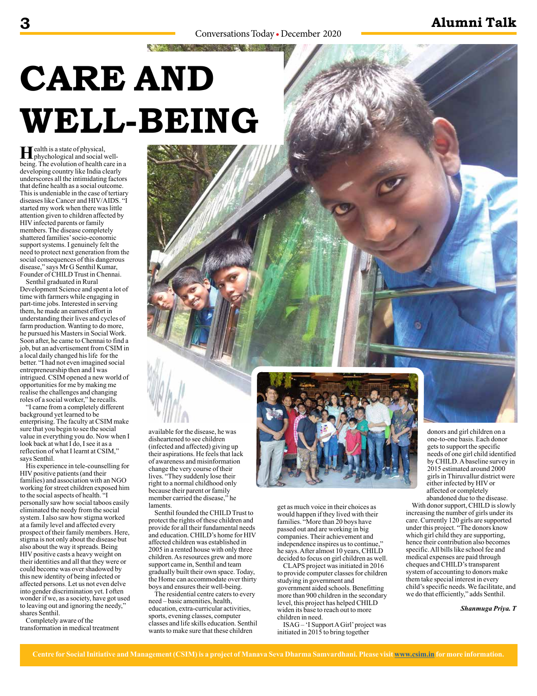AND CONTRACTORS OF THE RESIDENCE

# **CARE AND WELL-BEING**

**Health is a state of physical,**<br>phychological and social well-<br>heire. The synktion of bealth care is being. The evolution of health care in a developing country like India clearly underscores all the intimidating factors that define health as a social outcome. This is undeniable in the case of tertiary diseases like Cancer and HIV/AIDS. "I started my work when there was little attention given to children affected by HIV infected parents or family members. The disease completely shattered families' socio-economic support systems. I genuinely felt the need to protect next generation from the social consequences of this dangerous disease," says Mr G Senthil Kumar, Founder of CHILD Trust in Chennai.

Senthil graduated in Rural Development Science and spent a lot of time with farmers while engaging in part-time jobs. Interested in serving them, he made an earnest effort in understanding their lives and cycles of farm production. Wanting to do more, he pursued his Masters in Social Work. Soon after, he came to Chennai to find a job, but an advertisement from CSIM in a local daily changed his life for the better. "I had not even imagined social entrepreneurship then and I was intrigued. CSIM opened a new world of opportunities for me by making me realise the challenges and changing roles of a social worker," he recalls.

"I came from a completely different background yet learned to be enterprising. The faculty at CSIM make sure that you begin to see the social value in everything you do. Now when I look back at what I do, I see it as a reflection of what I learnt at CSIM," says Senthil.

His experience in tele-counselling for HIV positive patients (and their families) and association with an NGO working for street children exposed him to the social aspects of health. "I personally saw how social taboos easily eliminated the needy from the social system. I also saw how stigma worked at a family level and affected every prospect of their family members. Here, stigma is not only about the disease but also about the way it spreads. Being HIV positive casts a heavy weight on their identities and all that they were or could become was over shadowed by this new identity of being infected or affected persons. Let us not even delve into gender discrimination yet. I often wonder if we, as a society, have got used to leaving out and ignoring the needy," shares Senthil.

Completely aware of the transformation in medical treatment available for the disease, he was disheartened to see children (infected and affected) giving up their aspirations. He feels that lack of awareness and misinformation change the very course of their lives. "They suddenly lose their right to a normal childhood only because their parent or family member carried the disease," he laments.

Senthil founded the CHILD Trust to protect the rights of these children and provide for all their fundamental needs and education. CHILD's home for HIV affected children was established in 2005 in a rented house with only three children. As resources grew and more support came in, Senthil and team gradually built their own space. Today, the Home can accommodate over thirty boys and ensures their well-being.

The residential centre caters to every need – basic amenities, health, education, extra-curricular activities, sports, evening classes, computer classes and life skills education. Senthil wants to make sure that these children



get as much voice in their choices as would happen if they lived with their families. "More than 20 boys have passed out and are working in big companies. Their achievement and independence inspires us to continue," he says. After almost 10 years, CHILD decided to focus on girl children as well.

CLAPS project was initiated in 2016 to provide computer classes for children studying in government and government aided schools. Benefitting more than 900 children in the secondary level, this project has helped CHILD widen its base to reach out to more children in need.

ISAG – 'I Support A Girl' project was initiated in 2015 to bring together

donors and girl children on a one-to-one basis. Each donor gets to support the specific needs of one girl child identified by CHILD. A baseline survey in 2015 estimated around 2000 girls in Thiruvallur district were either infected by HIV or affected or completely abandoned due to the disease.

With donor support, CHILD is slowly increasing the number of girls under its care. Currently 120 girls are supported under this project. "The donors know which girl child they are supporting, hence their contribution also becomes specific. All bills like school fee and medical expenses are paid through cheques and CHILD's transparent system of accounting to donors make them take special interest in every child's specific needs. We facilitate, and we do that efficiently," adds Senthil.

*Shanmuga Priya. T*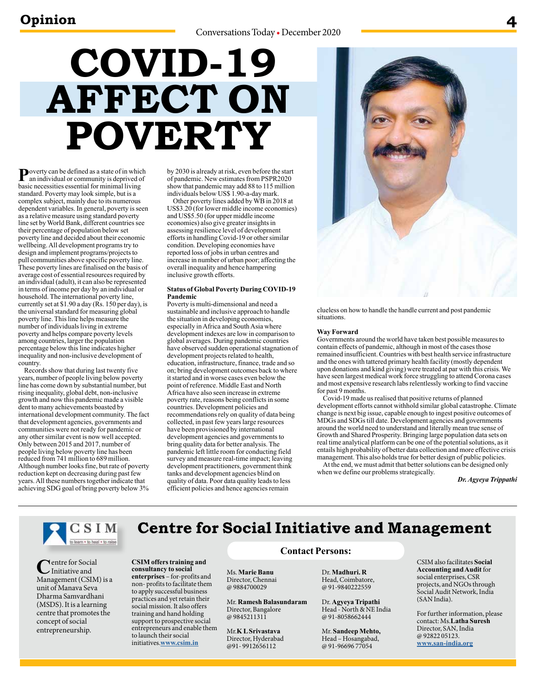# **COVID-19 AFFECT ON POVERTY**

**P**overty can be defined as a state of in which an individual or community is deprived of basic necessities essential for minimal living standard. Poverty may look simple, but is a complex subject, mainly due to its numerous dependent variables. In general, poverty is seen as a relative measure using standard poverty line set by World Bank, different countries see their percentage of population below set poverty line and decided about their economic wellbeing. All development programs try to design and implement programs/projects to pull communities above specific poverty line. These poverty lines are finalised on the basis of average cost of essential resources required by an individual (adult), it can also be represented in terms of income per day by an individual or household. The international poverty line, currently set at \$1.90 a day ( $\hat{Rs}$ . 150 per day), is the universal standard for measuring global poverty line. This line helps measure the number of individuals living in extreme poverty and helps compare poverty levels among countries, larger the population percentage below this line indicates higher inequality and non-inclusive development of country.

Records show that during last twenty five years, number of people living below poverty line has come down by substantial number, but rising inequality, global debt, non-inclusive growth and now this pandemic made a visible dent to many achievements boasted by international development community. The fact that development agencies, governments and communities were not ready for pandemic or any other similar event is now well accepted. Only between 2015 and 2017, number of people living below poverty line has been reduced from 741 million to 689 million. Although number looks fine, but rate of poverty reduction kept on decreasing during past few years. All these numbers together indicate that achieving SDG goal of bring poverty below 3%

by 2030 is already at risk, even before the start of pandemic. New estimates from PSPR2020 show that pandemic may add 88 to 115 million individuals below US\$ 1.90-a-day mark.

Other poverty lines added by WB in 2018 at US\$3.20 (for lower middle income economies) and US\$5.50 (for upper middle income economies) also give greater insights in assessing resilience level of development efforts in handling Covid-19 or other similar condition. Developing economies have reported loss of jobs in urban centres and increase in number of urban poor; affecting the overall inequality and hence hampering inclusive growth efforts.

### **Status of Global Poverty During COVID-19 Pandemic**

Poverty is multi-dimensional and need a sustainable and inclusive approach to handle the situation in developing economies, especially in Africa and South Asia where development indexes are low in comparison to global averages. During pandemic countries have observed sudden operational stagnation of development projects related to health, education, infrastructure, finance, trade and so on; bring development outcomes back to where it started and in worse cases even below the point of reference. Middle East and North Africa have also seen increase in extreme poverty rate, reasons being conflicts in some countries. Development policies and recommendations rely on quality of data being collected, in past few years large resources have been provisioned by international development agencies and governments to bring quality data for better analysis. The pandemic left little room for conducting field survey and measure real-time impact; leaving development practitioners, government think tanks and development agencies blind on quality of data. Poor data quality leads to less efficient policies and hence agencies remain



clueless on how to handle the handle current and post pandemic situations.

#### **Way Forward**

Governments around the world have taken best possible measures to contain effects of pandemic, although in most of the cases those remained insufficient. Countries with best health service infrastructure and the ones with tattered primary health facility (mostly dependent upon donations and kind giving) were treated at par with this crisis. We have seen largest medical work force struggling to attend Corona cases and most expensive research labs relentlessly working to find vaccine for past 9 months.

Covid-19 made us realised that positive returns of planned development efforts cannot withhold similar global catastrophe. Climate change is next big issue, capable enough to ingest positive outcomes of MDGs and SDGs till date. Development agencies and governments around the world need to understand and literally mean true sense of Growth and Shared Prosperity. Bringing large population data sets on real time analytical platform can be one of the potential solutions, as it entails high probability of better data collection and more effective crisis management. This also holds true for better design of public policies. At the end, we must admit that better solutions can be designed only

when we define our problems strategically.

*Dr. Agyeya Trippathi*



Centre for Social Management (CSIM) is a unit of Manava Seva Dharma Samvardhani (MSDS). It is a learning centre that promotes the concept of social entrepreneurship.

### **Centre for Social Initiative and Management**

### **Contact Persons:**

Ms. **Marie Banu** Director, Chennai @ 9884700029

**CSIM offers training and consultancy to social enterprises** – for-profits and non- profits to facilitate them to apply successful business practices and yet retain their social mission. It also offers training and hand holding support to prospective social entrepreneurs and enable them

to launch their social initiatives.**www.csim.in**

Mr. **Ramesh Balasundaram**  Director, Bangalore @ 9845211311

Mr.**K L Srivastava** Director, Hyderabad @91- 9912656112

Dr. **Madhuri. R** Head, Coimbatore, @ 91-9840222559

Dr. **Agyeya Tripathi**  Head - North & NE India @ 91-8058662444

Mr. **Sandeep Mehto,** Head – Hosangabad, @ 91-96696 77054

CSIM also facilitates **Social Accounting and Audit** for social enterprises, CSR projects, and NGOs through Social Audit Network, India (SAN India).

For further information, please contact: Ms.**Latha Suresh**  Director, SAN, India @ 92822 05123. **www.san-india.org**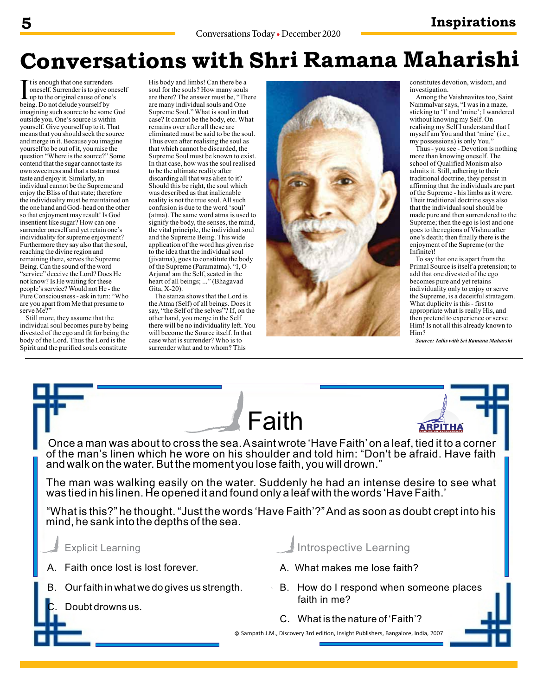### **5 Inspirations**

### **Conversations with Shri Ramana Maharishi**

The is enough that one surrenders<br>
oneself. Surrender is to give o<br>
being. Do not delude yourself by t is enough that one surrenders oneself. Surrender is to give oneself Lup to the original cause of one's imagining such source to be some God outside you. One's source is within yourself. Give yourself up to it. That means that you should seek the source and merge in it. Because you imagine yourself to be out of it, you raise the question "Where is the source?" Some contend that the sugar cannot taste its own sweetness and that a taster must taste and enjoy it. Similarly, an individual cannot be the Supreme and enjoy the Bliss of that state; therefore the individuality must be maintained on the one hand and God- head on the other so that enjoyment may result! Is God insentient like sugar? How can one surrender oneself and yet retain one's individuality for supreme enjoyment? Furthermore they say also that the soul, reaching the divine region and remaining there, serves the Supreme Being. Can the sound of the word "service" deceive the Lord? Does He not know? Is He waiting for these people's service? Would not He - the Pure Consciousness - ask in turn: "Who are you apart from Me that presume to serve Me?"

Still more, they assume that the individual soul becomes pure by being divested of the ego and fit for being the body of the Lord. Thus the Lord is the Spirit and the purified souls constitute

His body and limbs! Can there be a soul for the souls? How many souls are there? The answer must be, "There are many individual souls and One Supreme Soul." What is soul in that case? It cannot be the body, etc. What remains over after all these are eliminated must be said to be the soul. Thus even after realising the soul as that which cannot be discarded, the Supreme Soul must be known to exist. In that case, how was the soul realised to be the ultimate reality after discarding all that was alien to it? Should this be right, the soul which was described as that inalienable reality is not the true soul. All such confusion is due to the word 'soul' (atma). The same word atma is used to signify the body, the senses, the mind, the vital principle, the individual soul and the Supreme Being. This wide application of the word has given rise to the idea that the individual soul (jivatma), goes to constitute the body of the Supreme (Paramatma). "I, O Arjuna! am the Self, seated in the heart of all beings; ..." (Bhagavad Gita, X-20).

The stanza shows that the Lord is the Atma (Self) of all beings. Does it say, "the Self of the selves"? If, on the other hand, you merge in the Self there will be no individuality left. You will become the Source itself. In that case what is surrender? Who is to surrender what and to whom? This



constitutes devotion, wisdom, and investigation.

Among the Vaishnavites too, Saint Nammalvar says, "I was in a maze, sticking to 'I' and 'mine'; I wandered without knowing my Self. On realising my Self I understand that I myself am You and that 'mine' (i.e., my possessions) is only You."

Thus - you see - Devotion is nothing more than knowing oneself. The school of Qualified Monism also admits it. Still, adhering to their traditional doctrine, they persist in affirming that the individuals are part of the Supreme - his limbs as it were. Their traditional doctrine says also that the individual soul should be made pure and then surrendered to the Supreme; then the ego is lost and one goes to the regions of Vishnu after one's death; then finally there is the enjoyment of the Supreme (or the Infinite)!

To say that one is apart from the Primal Source is itself a pretension; to add that one divested of the ego becomes pure and yet retains individuality only to enjoy or serve the Supreme, is a deceitful stratagem. What duplicity is this - first to appropriate what is really His, and then pretend to experience or serve Him! Is not all this already known to Him?

*Source: Talks with Sri Ramana Maharshi*

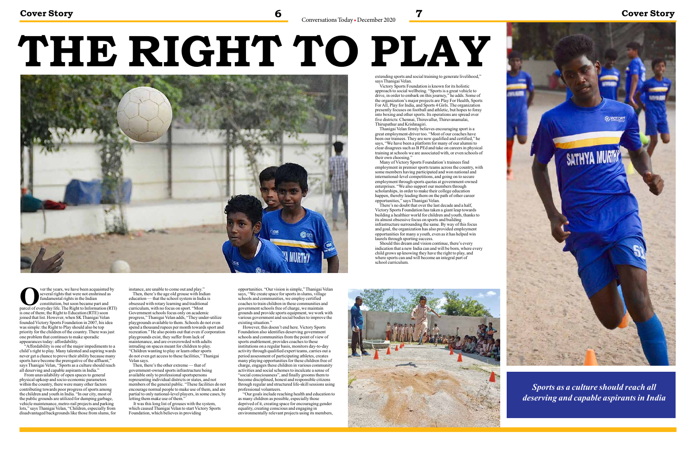**Cover Story Cover Story 6 6 8 Conversations Today • December 2020 7 Cover Story 6** 

**O**ver the years, we have been acquainted by several rights that were not enshrined as fundamental rights in the Indian constitution, but soon became part and parcel of everyday life. The Right to Information (RTI) everal rights that were not enshrined as undamental rights in the Indian constitution, but soon became part and is one of them; the Right to Education (RTE) soon joined that list. However, when SK Thanigai Velan founded Victory Sports Foundation in 2007, his idea was simple: the Right to Play should also be top priority for the children of the country. There was just one problem that continues to make sporadic appearances today: affordability.

 "Affordability is one of the major impediments to a child's right to play. Many talented and aspiring wards never get a chance to prove their ability because many sports have become the prerogative of the affluent," says Thanigai Velan, "Sports as a culture should reach all deserving and capable aspirants in India."

Then, there's the other extreme — that of government-owned sports infrastructure being available only to professional sportspersons representing individual districts or states, and not members of the general public. "These facilities do not encourage normal people to make use of them, and are partial to only national-level players, in some cases, by letting them make use of them."

 From unavailability of open spaces to general physical upkeep and socio-economic parameters within the country, there were many other factors contributing towards poor progress of sports among the children and youth in India. "In our city, most of the public grounds are utilized for dumping garbage, vehicle maintenance, metro-rail projects and parking lots," says Thanigai Velan, "Children, especially from disadvantaged backgrounds like those from slums, for instance, are unable to come out and play."

Then, there's the age old grouse with Indian education — that the school system in India is obsessed with rotary learning and traditional curriculum, with no focus on sport. "Most Government schools focus only on academic progress," Thanigai Velan adds, "They under-utilize playgrounds available to them. Schools do not even spend a thousand rupees per month towards sport and recreation." He also points out that even if corporation

playgrounds exist, they suffer from lack of maintenance, and are overcrowded with adults intruding on spaces meant for children to play. "Children wanting to play or learn other sports do not even get access to these facilities," Thanigai Velan says.

 It was this long list of grouses with the system, which caused Thanigai Velan to start Victory Sports Foundation, which believes in providing

opportunities. "Our vision is simple," Thanigai Velan says, "We create space for sports in slums, village schools and communities, we employ certified coaches to train children in these communities and government schools free of charge, we maintain grounds and provide sports equipment, we work with various government and social bodies to improve the existing situation."

 However, this doesn't end here. Victory Sports Foundation also identifies deserving government schools and communities from the point of view of sports enablement, provides coaches to these institutions on a regular basis, monitors day-to-day activity through qualified expert teams, carries out a period assessment of participating athletes, creates many playing opportunities for these children free of charge, engages these children in various community activities and social schemes to inculcate a sense of "social consciousness", and finally grooms them to become disciplined, honest and responsible citizens through regular and structured life-skill sessions using professional volunteers.

 "Our goals include reaching health and education to as many children as possible, especially those deprived of it, creating space for encouraging gender equality, creating conscious and engaging in environmentally relevant projects using its members,

# **THE RIGHT TO PLAY**



extending sports and social training to generate livelihood,"

says Thanigai Velan.

 Victory Sports Foundation is known for its holistic approach to social wellbeing. "Sports is a great vehicle to drive, in order to embark on this journey," he adds. Some of the organization's major projects are Play For Health, Sports For All, Play for India, and Sports 4 Girls. The organization presently focuses on football and athletic, but hopes to foray into boxing and other sports. Its operations are spread over five districts: Chennai, Thiruvallur, Thiruvanamalai, Thirupathur and Krishnagiri.

 Thanigai Velan firmly believes encouraging sport is a great employment-driver too. "Most of our coaches have been our trainees. They are now qualified and certified," he says, "We have been a platform for many of our alumni to clear disagrees such as B PEd and take on careers in physical training at schools we are associated with, or even schools of

their own choosing."

 Many of Victory Sports Foundation's trainees find employment in premier sports teams across the country, with some members having participated and won national and international-level competitions, and going on to secure employment through sports quotas at government-owned enterprises. "We also support our members through scholarships, in order to make their college education happen, thereby leading them on the path of other career

opportunities," says Thanigai Velan.

 There's no doubt that over the last decade and a half, Victory Sports Foundation has taken a giant leap towards building a healthier world for children and youth, thanks to its almost obsessive focus on sports and building infrastructure surrounding the same. By way of this focus and goal, the organization has also provided employment opportunities for many a youth, even as it has helped win

laurels through sporting success.

 Should this dream and vision continue, there's every indication that a new India can and will be born, where every child grows up knowing they have the right to play, and where sports can and will become an integral part of



school curriculum.





*Sports as a culture should reach all deserving and capable aspirants in India*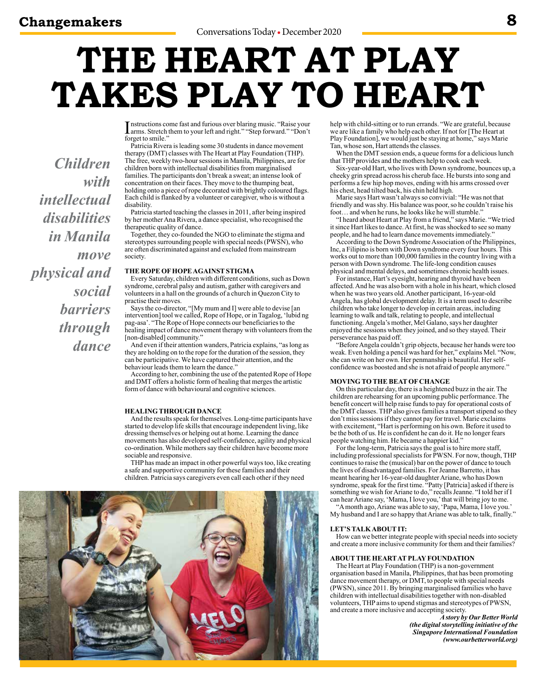*Children* 

*intellectual* 

*disabilities* 

*in Manila* 

*physical and* 

*with* 

*move* 

*social* 

*barriers* 

*through* 

*dance*

## **THE HEART AT PLAY TAKES PLAY TO HEART**

Instructions come fast and furious over blaring music. "Raise your<br>arms. Stretch them to your left and right." "Step forward." "Don't arms. Stretch them to your left and right." "Step forward." "Don't forget to smile.'

Patricia Rivera is leading some 30 students in dance movement therapy (DMT) classes with The Heart at Play Foundation (THP). The free, weekly two-hour sessions in Manila, Philippines, are for children born with intellectual disabilities from marginalised families. The participants don't break a sweat; an intense look of concentration on their faces. They move to the thumping beat, holding onto a piece of rope decorated with brightly coloured flags. Each child is flanked by a volunteer or caregiver, who is without a disability.

Patricia started teaching the classes in 2011, after being inspired by her mother Ana Rivera, a dance specialist, who recognised the therapeutic quality of dance.

Together, they co-founded the NGO to eliminate the stigma and stereotypes surrounding people with special needs (PWSN), who are often discriminated against and excluded from mainstream society.

### **THE ROPE OF HOPE AGAINST STIGMA**

Every Saturday, children with different conditions, such as Down syndrome, cerebral palsy and autism, gather with caregivers and volunteers in a hall on the grounds of a church in Quezon City to practise their moves.

Says the co-director, "[My mum and I] were able to devise [an intervention] tool we called, Rope of Hope, or in Tagalog, 'lubid ng pag-asa'. "The Rope of Hope connects our beneficiaries to the healing impact of dance movement therapy with volunteers from the [non-disabled] community.'

And even if their attention wanders, Patricia explains, "as long as they are holding on to the rope for the duration of the session, they can be participative. We have captured their attention, and the behaviour leads them to learn the dance."

According to her, combining the use of the patented Rope of Hope and DMT offers a holistic form of healing that merges the artistic form of dance with behavioural and cognitive sciences.

### **HEALING THROUGH DANCE**

And the results speak for themselves. Long-time participants have started to develop life skills that encourage independent living, like dressing themselves or helping out at home. Learning the dance movements has also developed self-confidence, agility and physical co-ordination. While mothers say their children have become more sociable and responsive.

THP has made an impact in other powerful ways too, like creating a safe and supportive community for these families and their children. Patricia says caregivers even call each other if they need



help with child-sitting or to run errands. "We are grateful, because we are like a family who help each other. If not for [The Heart at Play Foundation], we would just be staying at home," says Marie Tan, whose son, Hart attends the classes.

When the DMT session ends, a queue forms for a delicious lunch that THP provides and the mothers help to cook each week.

Six-year-old Hart, who lives with Down syndrome, bounces up, a cheeky grin spread across his cherub face. He bursts into song and performs a few hip hop moves, ending with his arms crossed over his chest, head tilted back, his chin held high.

Marie says Hart wasn't always so convivial: "He was not that friendly and was shy. His balance was poor, so he couldn't raise his foot… and when he runs, he looks like he will stumble."

"I heard about Heart at Play from a friend," says Marie. "We tried it since Hart likes to dance. At first, he was shocked to see so many people, and he had to learn dance movements immediately."

According to the Down Syndrome Association of the Philippines, Inc, a Filipino is born with Down syndrome every four hours. This works out to more than 100,000 families in the country living with a person with Down syndrome. The life-long condition causes physical and mental delays, and sometimes chronic health issues.

For instance, Hart's eyesight, hearing and thyroid have been affected. And he was also born with a hole in his heart, which closed when he was two years old. Another participant, 16-year-old Angela, has global development delay. It is a term used to describe children who take longer to develop in certain areas, including learning to walk and talk, relating to people, and intellectual functioning. Angela's mother, Mel Galano, says her daughter enjoyed the sessions when they joined, and so they stayed. Their perseverance has paid off.

"Before Angela couldn't grip objects, because her hands were too weak. Even holding a pencil was hard for her," explains Mel. "Now, she can write on her own. Her penmanship is beautiful. Her selfconfidence was boosted and she is not afraid of people anymore."

### **MOVING TO THE BEAT OF CHANGE**

On this particular day, there is a heightened buzz in the air. The children are rehearsing for an upcoming public performance. The benefit concert will help raise funds to pay for operational costs of the DMT classes. THP also gives families a transport stipend so they don't miss sessions if they cannot pay for travel. Marie exclaims with excitement, "Hart is performing on his own. Before it used to be the both of us. He is confident he can do it. He no longer fears people watching him. He became a happier kid."

For the long-term, Patricia says the goal is to hire more staff, including professional specialists for PWSN. For now, though, THP continues to raise the (musical) bar on the power of dance to touch the lives of disadvantaged families. For Jeanne Barretto, it has meant hearing her 16-year-old daughter Ariane, who has Down syndrome, speak for the first time. "Patty [Patricia] asked if there is something we wish for Ariane to do," recalls Jeanne. "I told her if I can hear Ariane say, 'Mama, I love you,' that will bring joy to me. "A month ago, Ariane was able to say, 'Papa, Mama, I love you.'

My husband and I are so happy that Ariane was able to talk, finally."

### **LET'S TALK ABOUT IT:**

How can we better integrate people with special needs into society and create a more inclusive community for them and their families?

#### **ABOUT THE HEART AT PLAY FOUNDATION**

The Heart at Play Foundation (THP) is a non-government organisation based in Manila, Philippines, that has been promoting dance movement therapy, or DMT, to people with special needs (PWSN), since 2011. By bringing marginalised families who have children with intellectual disabilities together with non-disabled volunteers, THP aims to upend stigmas and stereotypes of PWSN, and create a more inclusive and accepting society.

*A story by Our Better World (the digital storytelling initiative of the Singapore International Foundation (www.ourbetterworld.org)*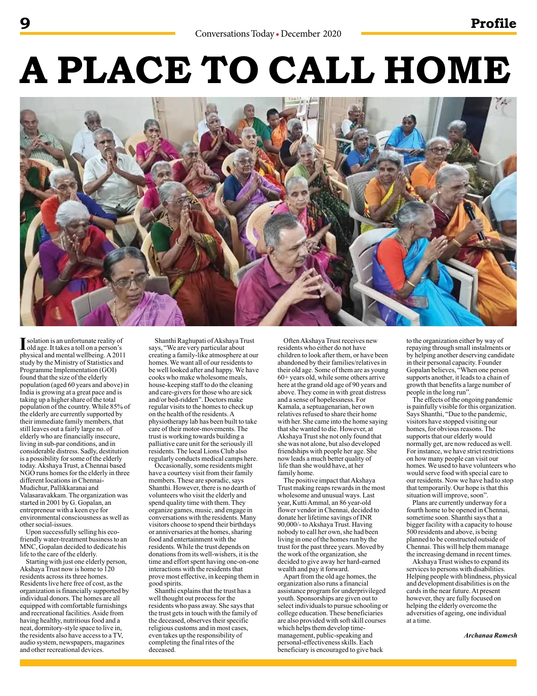### **9 Profile**

# **A PLACE TO CALL HOME**



**I** solation is an unfortunate reality of<br>old age. It takes a toll on a person's solation is an unfortunate reality of physical and mental wellbeing. A 2011 study by the Ministry of Statistics and Programme Implementation (GOI) found that the size of the elderly population (aged 60 years and above) in India is growing at a great pace and is taking up a higher share of the total population of the country. While 85% of the elderly are currently supported by their immediate family members, that still leaves out a fairly large no. of elderly who are financially insecure, living in sub-par conditions, and in considerable distress. Sadly, destitution is a possibility for some of the elderly today. Akshaya Trust, a Chennai based NGO runs homes for the elderly in three different locations in Chennai-Mudichur, Pallikkaranai and Valasaravakkam. The organization was started in 2001 by G. Gopalan, an entrepreneur with a keen eye for environmental consciousness as well as other social-issues.

Upon successfully selling his ecofriendly water-treatment business to an MNC, Gopalan decided to dedicate his life to the care of the elderly.

Starting with just one elderly person, Akshaya Trust now is home to 120 residents across its three homes. Residents live here free of cost, as the organization is financially supported by individual donors. The homes are all equipped with comfortable furnishings and recreational facilities. Aside from having healthy, nutritious food and a neat, dormitory-style space to live in, the residents also have access to a TV, audio system, newspapers, magazines and other recreational devices.

Shanthi Raghupati of Akshaya Trust says, "We are very particular about creating a family-like atmosphere at our homes. We want all of our residents to be well looked after and happy. We have cooks who make wholesome meals, house-keeping staff to do the cleaning and care-givers for those who are sick and/or bed-ridden". Doctors make regular visits to the homes to check up on the health of the residents. A physiotherapy lab has been built to take care of their motor-movements. The trust is working towards building a palliative care unit for the seriously ill residents. The local Lions Club also regularly conducts medical camps here.

Occasionally, some residents might have a courtesy visit from their family members. These are sporadic, says Shanthi. However, there is no dearth of volunteers who visit the elderly and spend quality time with them. They organize games, music, and engage in conversations with the residents. Many visitors choose to spend their birthdays or anniversaries at the homes, sharing food and entertainment with the residents. While the trust depends on donations from its well-wishers, it is the time and effort spent having one-on-one interactions with the residents that prove most effective, in keeping them in good spirits.

Shanthi explains that the trust has a well thought out process for the residents who pass away. She says that the trust gets in touch with the family of the deceased, observes their specific religious customs and in most cases, even takes up the responsibility of completing the final rites of the deceased.

Often Akshaya Trust receives new residents who either do not have children to look after them, or have been abandoned by their families/relatives in their old age. Some of them are as young 60+ years old, while some others arrive here at the grand old age of 90 years and above. They come in with great distress and a sense of hopelessness. For Kamala, a septuagenarian, her own relatives refused to share their home with her. She came into the home saying that she wanted to die. However, at Akshaya Trust she not only found that she was not alone, but also developed friendships with people her age. She now leads a much better quality of life than she would have, at her family home.

The positive impact that Akshaya Trust making reaps rewards in the most wholesome and unusual ways. Last year, Kutti Ammal, an 86 year-old flower vendor in Chennai, decided to donate her lifetime savings of INR 90,000/- to Akshaya Trust. Having nobody to call her own, she had been living in one of the homes run by the trust for the past three years. Moved by the work of the organization, she decided to give away her hard-earned wealth and pay it forward.

Apart from the old age homes, the organization also runs a financial assistance program for underprivileged youth. Sponsorships are given out to select individuals to pursue schooling or college education. These beneficiaries are also provided with soft skill courses which helps them develop timemanagement, public-speaking and personal-effectiveness skills. Each beneficiary is encouraged to give back

to the organization either by way of repaying through small instalments or by helping another deserving candidate in their personal capacity. Founder Gopalan believes, "When one person supports another, it leads to a chain of growth that benefits a large number of people in the long run".

The effects of the ongoing pandemic is painfully visible for this organization. Says Shanthi, "Due to the pandemic, visitors have stopped visiting our homes, for obvious reasons. The supports that our elderly would normally get, are now reduced as well. For instance, we have strict restrictions on how many people can visit our homes. We used to have volunteers who would serve food with special care to our residents. Now we have had to stop that temporarily. Our hope is that this situation will improve, soon".

Plans are currently underway for a fourth home to be opened in Chennai, sometime soon. Shanthi says that a bigger facility with a capacity to house 500 residents and above, is being planned to be constructed outside of Chennai. This will help them manage the increasing demand in recent times.

Akshaya Trust wishes to expand its services to persons with disabilities. Helping people with blindness, physical and development disabilities is on the cards in the near future. At present however, they are fully focused on helping the elderly overcome the adversities of ageing, one individual at a time.

*Archanaa Ramesh*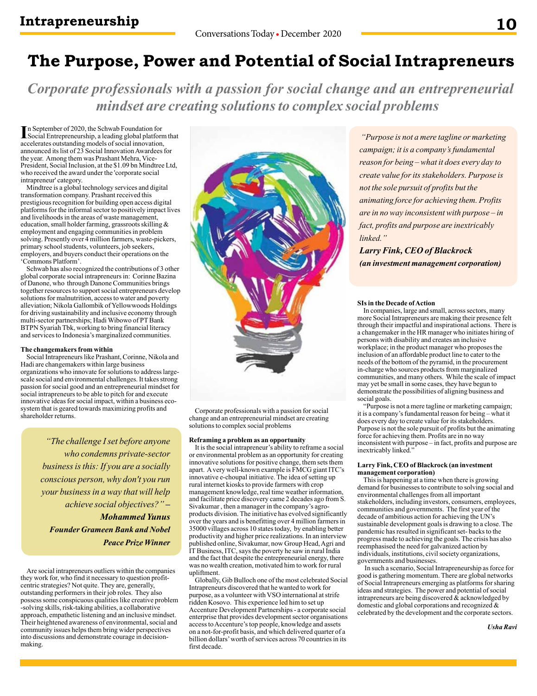### **The Purpose, Power and Potential of Social Intrapreneurs**

*Corporate professionals with a passion for social change and an entrepreneurial mindset are creating solutions to complex social problems*

In September of 2020, the Schwab Foundation for<br>
Social Entrepreneurship, a leading global platform Social Entrepreneurship, a leading global platform that accelerates outstanding models of social innovation, announced its list of 23 Social Innovation Awardees for the year. Among them was Prashant Mehra, Vice-President, Social Inclusion, at the \$1.09 bn Mindtree Ltd, who received the award under the 'corporate social intrapreneur' category.

Mindtree is a global technology services and digital transformation company. Prashant received this prestigious recognition for building open access digital platforms for the informal sector to positively impact lives and livelihoods in the areas of waste management, education, small holder farming, grassroots skilling & employment and engaging communities in problem solving. Presently over 4 million farmers, waste-pickers, primary school students, volunteers, job seekers, employers, and buyers conduct their operations on the 'Commons Platform'.

Schwab has also recognized the contributions of 3 other global corporate social intrapreneurs in: Corinne Bazina of Danone, who through Danone Communities brings together resources to support social entrepreneurs develop solutions for malnutrition, access to water and poverty alleviation; Nikola Gallombik of Yellowwoods Holdings for driving sustainability and inclusive economy through multi-sector partnerships; Hadi Wibowo of PT Bank BTPN Syariah Tbk, working to bring financial literacy and services to Indonesia's marginalized communities.

#### **The changemakers from within**

Social Intrapreneurs like Prashant, Corinne, Nikola and Hadi are changemakers within large business organizations who innovate for solutions to address largescale social and environmental challenges. It takes strong passion for social good and an entrepreneurial mindset for social intrapreneurs to be able to pitch for and execute innovative ideas for social impact, within a business ecosystem that is geared towards maximizing profits and shareholder returns.

> *"The challenge I set before anyone who condemns private-sector business is this: If you are a socially conscious person, why don't you run your business in a way that will help achieve social objectives?" – Mohammed Yunus Founder Grameen Bank and Nobel Peace Prize Winner*

Are social intrapreneurs outliers within the companies they work for, who find it necessary to question profitcentric strategies? Not quite. They are, generally, outstanding performers in their job roles. They also possess some conspicuous qualities like creative problem -solving skills, risk-taking abilities, a collaborative approach, empathetic listening and an inclusive mindset. Their heightened awareness of environmental, social and community issues helps them bring wider perspectives into discussions and demonstrate courage in decisionmaking.



Corporate professionals with a passion for social change and an entrepreneurial mindset are creating solutions to complex social problems

### **Reframing a problem as an opportunity**

It is the social intrapreneur's ability to reframe a social or environmental problem as an opportunity for creating innovative solutions for positive change, them sets them apart. A very well-known example is FMCG giant ITC's innovative e-choupal initiative. The idea of setting up rural internet kiosks to provide farmers with crop management knowledge, real time weather information, and facilitate price discovery came 2 decades ago from S. Sivakumar , then a manager in the company's agroproducts division. The initiative has evolved significantly over the years and is benefitting over 4 million farmers in 35000 villages across 10 states today, by enabling better productivity and higher price realizations. In an interview published online, Sivakumar, now Group Head, Agri and IT Business, ITC, says the poverty he saw in rural India and the fact that despite the entrepreneurial energy, there was no wealth creation, motivated him to work for rural upliftment.

Globally, Gib Bulloch one of the most celebrated Social Intrapreneurs discovered that he wanted to work for purpose, as a volunteer with VSO international at strife ridden Kosovo. This experience led him to set up Accenture Development Partnerships - a corporate social enterprise that provides development sector organisations access to Accenture's top people, knowledge and assets on a not-for-profit basis, and which delivered quarter of a billion dollars' worth of services across 70 countries in its first decade.

 *"Purpose is not a mere tagline or marketing campaign; it is a company's fundamental reason for being – what it does every day to create value for its stakeholders. Purpose is not the sole pursuit of profits but the animating force for achieving them. Profits are in no way inconsistent with purpose – in fact, profits and purpose are inextricably linked."* 

*Larry Fink, CEO of Blackrock (an investment management corporation)*

#### **SIs in the Decade of Action**

In companies, large and small, across sectors, many more Social Intrapreneurs are making their presence felt through their impactful and inspirational actions. There is a changemaker in the HR manager who initiates hiring of persons with disability and creates an inclusive workplace; in the product manager who proposes the inclusion of an affordable product line to cater to the needs of the bottom of the pyramid, in the procurement in-charge who sources products from marginalized communities, and many others. While the scale of impact may yet be small in some cases, they have begun to demonstrate the possibilities of aligning business and social goals.

"Purpose is not a mere tagline or marketing campaign; it is a company's fundamental reason for being – what it does every day to create value for its stakeholders. Purpose is not the sole pursuit of profits but the animating force for achieving them. Profits are in no way inconsistent with purpose – in fact, profits and purpose are inextricably linked.'

### **Larry Fink, CEO of Blackrock (an investment management corporation)**

This is happening at a time when there is growing demand for businesses to contribute to solving social and environmental challenges from all important stakeholders, including investors, consumers, employees, communities and governments. The first year of the decade of ambitious action for achieving the UN's sustainable development goals is drawing to a close. The pandemic has resulted in significant set- backs to the progress made to achieving the goals. The crisis has also reemphasised the need for galvanized action by individuals, institutions, civil society organizations, governments and businesses.

 In such a scenario, Social Intrapreneurship as force for good is gathering momentum. There are global networks of Social Intrapreneurs emerging as platforms for sharing ideas and strategies. The power and potential of social intrapreneurs are being discovered & acknowledged by domestic and global corporations and recognized & celebrated by the development and the corporate sectors.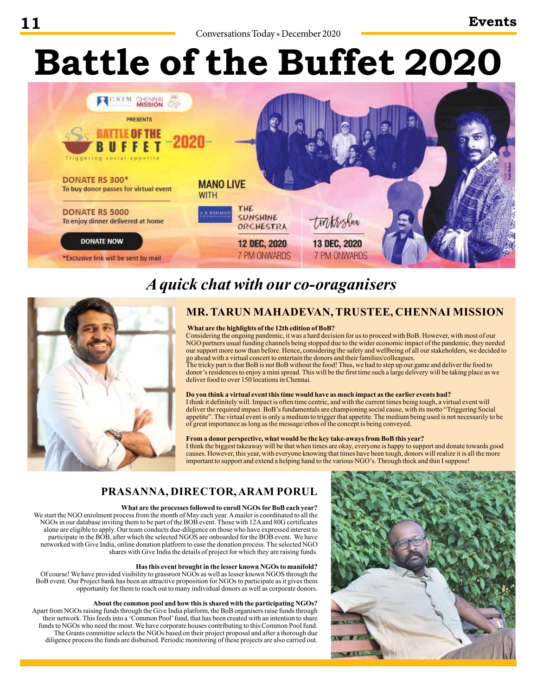# **Battle of the Buffet 2020**



### *A quick chat with our co-oraganisers*



### **MR. TARUN MAHADEVAN, TRUSTEE, CHENNAI MISSION**

### **What are the highlights of the 12th edition of BoB?**

Considering the ongoing pandemic, it was a hard decision for us to proceed with BoB. However, with most of our NGO partners usual funding channels being stopped due to the wider economic impact of the pandemic, they needed our support more now than before. Hence, considering the safety and wellbeing of all our stakeholders, we decided to go ahead with a virtual concert to entertain the donors and their families/colleagues.

The tricky part is that BoB is not BoB without the food! Thus, we had to step up our game and deliver the food to donor's residences to enjoy a mini spread. This will be the first time such a large delivery will be taking place as we deliver food to over 150 locations in Chennai.

### **Do you think a virtual event this time would have as much impact as the earlier events had?**

I think it definitely will. Impact is often time centric, and with the current times being tough, a virtual event will deliver the required impact. BoB's fundamentals are championing social cause, with its motto "Triggering Social appetite". The virtual event is only a medium to trigger that appetite. The medium being used is not necessarily to be of great importance as long as the message/ethos of the concept is being conveyed.

### **From a donor perspective, what would be the key take-aways from BoB this year?**

I think the biggest takeaway will be that when times are okay, everyone is happy to support and donate towards good causes. However, this year, with everyone knowing that times have been tough, donors will realize it is all the more important to support and extend a helping hand to the various NGO's. Through thick and thin I suppose!

### **PRASANNA, DIRECTOR, ARAM PORUL**

### **What are the processes followed to enroll NGOs for BoB each year?**

We start the NGO enrolment process from the month of May each year. A mailer is coordinated to all the NGOs in our database inviting them to be part of the BOB event. Those with 12A and 80G certificates alone are eligible to apply. Our team conducts due-diligence on those who have expressed interest to participate in the BOB, after which the selected NGOS are onboarded for the BOB event. We have networked with Give India, online donation platform to ease the donation process. The selected NGO shares with Give India the details of project for which they are raising funds.

### **Has this event brought in the lesser known NGOs to manifold?**

Of course! We have provided visibility to grassroot NGOs as well as lesser known NGOS through the BoB event. Our Project bank has been an attractive proposition for NGOs to participate as it gives them opportunity for them to reach out to many individual donors as well as corporate donors.

### **About the common pool and how this is shared with the participating NGOs?**

Apart from NGOs raising funds through the Give India platform, the BoB organisers raise funds through their network. This feeds into a 'Common Pool' fund, that has been created with an intention to share funds to NGOs who need the most. We have corporate houses contributing to this Common Pool fund. The Grants committee selects the NGOs based on their project proposal and after a thorough due diligence process the funds are disbursed. Periodic monitoring of these projects are also carried out.